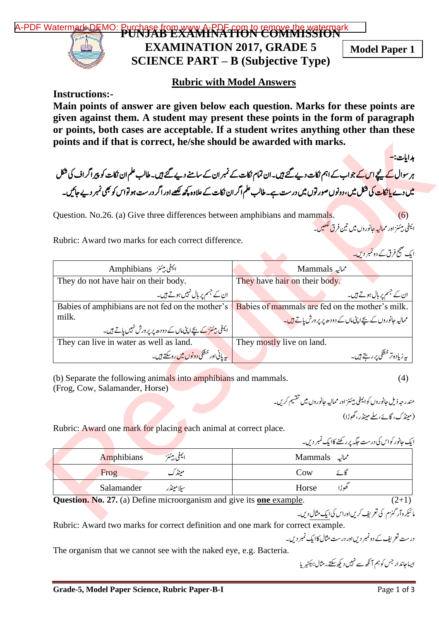

## **Rubric with Model Answers**

**Instructions:-**

**Main points of answer are given below each question. Marks for these points are given against them. A student may present these points in the form of paragraph or points, both cases are acceptable. If a student writes anything other than these points and if that is correct, he/she should be awarded with marks.**

 دہاایت : - ہر سوال <mark>کے پیچے اس کے جو</mark>اب کے اہم نکات دیے گئے ہیں۔ ان تمام نکات کے نمبر ان کے سامنے دیے گئے ہیں۔ طالب علم ان نکات کو پیراگراف کی شکل می<u>ں دے یا نکات کی</u> فیکل میں، دونوں صورتوں میں درست ہے۔ طالب علم اگر ان نکات کے علاوہ کچھ لکھے اور اگر درست ہو تواس کو بھی نمبر دیے جائیں۔

مسیر<br>یمفی بیئنز اور مما<mark>لیہ جان</mark>وروں میں تین فرق ککھیں۔ ا ی

|                                                                                                   | بدایات:-                                                                                                                                             |
|---------------------------------------------------------------------------------------------------|------------------------------------------------------------------------------------------------------------------------------------------------------|
|                                                                                                   | ہر سوال <mark>کے پیچے اس کے جواب کے اہم نکات دیے گئے ہیں۔ان تمام نکات کے نمبر ان کے سامنے دیے گئے ہیں۔طالب علم ان نکات کو پیراگراف کی شکل</mark>     |
|                                                                                                   | <mark>میں دے پانکات کی شکل می</mark> ں، دونوں صور توں میں درست ہے۔طالب علم اگر ان نکات کے علاوہ کچھ لکھے اور اگر درست ہو تواس کو بھی نمبر دیے جائیں۔ |
| Question. No.26. (a) Give three differences between amphibians and mammals.                       | (6)                                                                                                                                                  |
|                                                                                                   | ايمفي بيئنز اور مما <mark>ليه ح</mark> انوروں ميں تين فرق لکھيں۔                                                                                     |
| Rubric: Award two marks for each correct difference.                                              |                                                                                                                                                      |
|                                                                                                   | ایک صحیح فرق کے دونمبر دیں۔                                                                                                                          |
| اليمفى ييئز Amphibians                                                                            | Mammals مماليه                                                                                                                                       |
| They do not have hair on their body.                                                              | They have hair on their body.                                                                                                                        |
| ان کے جسم پر بال نہیں ہوتے ہیں۔                                                                   | ان کے جسم پر بال ہوتے ہیں۔                                                                                                                           |
| Babies of amphibians are not fed on the mother's                                                  | Babies of mammals are fed on the mother's milk.                                                                                                      |
| milk.<br>ایمفی بیٹ کے بچےاپی مال کے دودھ پر پرورش نہیں پاتے ہیں۔                                  | ممالیہ جانوروں کے بچے اپنی ماں کے دودھ پر پر ورش یاتے <del>ہیں۔</del>                                                                                |
| They can live in water as well as land.                                                           | They mostly live on land.                                                                                                                            |
| پیریانی اور خشکی دونوں میں رہ سکتے ہیں۔                                                           | ىيەز يادەتر خشكى پررىتے ہيں۔                                                                                                                         |
| (b) Separate the following animals into amphibians and mammals.<br>(Frog, Cow, Salamander, Horse) | (4)                                                                                                                                                  |
|                                                                                                   | مندر جه ذیل جانوروں کوایمفی بیئنز اور ممالیہ جانوروں میں تقسیم کریں۔                                                                                 |
|                                                                                                   | (مینڈ ک، گائے،سلے مینڈر، گھوڑا)                                                                                                                      |
| Rubric: Award one mark for placing each animal at correct place.                                  |                                                                                                                                                      |
|                                                                                                   | ا یک جانور کواس کی درست جگه پرر گھنے کاایک نمبر دیں۔                                                                                                 |
| ايمفى بيئتز<br>Amphibians                                                                         | مماليہ Mammals                                                                                                                                       |
| مینڈک<br>Frog                                                                                     | Cow<br>گائے                                                                                                                                          |
| سلامينڈر<br>Salamander                                                                            | گھوڑا<br>Horse                                                                                                                                       |
|                                                                                                   |                                                                                                                                                      |
| <b>Question.</b> No. 27. (a) Define microorganism and give its <b>one</b> example.                | $(2+1)$<br>مائیکروآر گنزم کی تعریف کریں اوراس کی ایک مثال دیں۔                                                                                       |

| Rubric. Award one mark for placing each annihal at correct place.        | ایک جانور کواس کی درست حَکّہ پرر گھنے کاایک نمبر دیں۔ |
|--------------------------------------------------------------------------|-------------------------------------------------------|
| ايمفى بيئنن<br><b>Amphibians</b>                                         | Mammals مماليه                                        |
| مینڈک<br>Frog                                                            | Cow<br>كانح                                           |
| Salamander<br>سلامينڈر                                                   | طوڑا<br>Horse                                         |
| $\cdot$ .<br>$\bullet$ $\bullet$ $\bullet$ $\bullet$ $\bullet$<br>$\sim$ | $\sqrt{2}$                                            |

ما ئیکروآر کنزم کی نعریف کریںاوراس کی ایک مثال دیں۔  $\overline{\phantom{a}}$ 

Rubric: Award two marks for correct definition and one mark for correct example.

درست تعریف کے دونمبر دیںاور درست مثال کاایک نمبر دیں۔

The organism that we cannot see with the naked eye, e.g. Bacteria.

ایساجان**د ار<sup>جس کو ہم آ** نک<sub>ھ</sub> سے نہیں دیکھ <del>سکت</del>ے مثال:بیکٹیر پا</sup>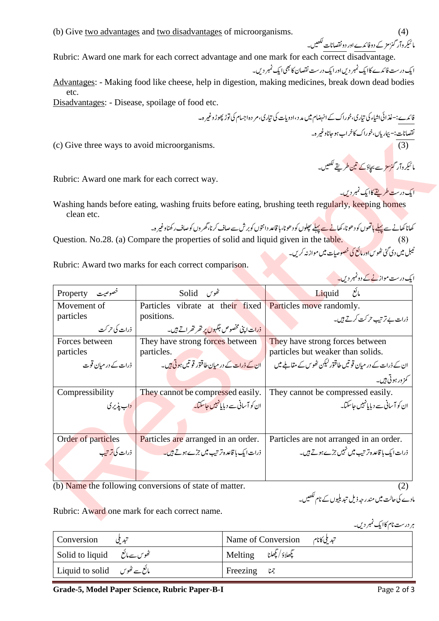Rubric: Award one mark for each correct advantage and one mark for each correct disadvantage.

ایک درست فائدے کاایک نمبر دیں اور ایک درست نقصان کا بھی ایک نمبر دیں۔ Advantages: - Making food like cheese, help in digestion, making medicines, break down dead bodies etc.

Disadvantages: - Disease, spoilage of food etc.

مائیکر وآر کنز مز کے دوفائدے اور دو نقصانات لکھیں۔

فائدے:-غذائی اشاء کی تیاری،خوراک کے انہضام میں مد د ،ادویات کی تیاری،م دہ اجسام کی توڑ پھوڑ وغیر ہ۔

 $\overline{a}$ 

|                                              |                                                                                     | نقصانات:– بيمارياں،خوراک کاخراب ہو جاناوغير ہ۔                                                                                                              |
|----------------------------------------------|-------------------------------------------------------------------------------------|-------------------------------------------------------------------------------------------------------------------------------------------------------------|
| (c) Give three ways to avoid microorganisms. |                                                                                     | (3)                                                                                                                                                         |
|                                              |                                                                                     |                                                                                                                                                             |
|                                              |                                                                                     | مائیکر دار گ <mark>زمز</mark> ے بچاؤ کے تین طریقے ککھیں۔                                                                                                    |
|                                              | Rubric: Award one mark for each correct way.                                        |                                                                                                                                                             |
|                                              |                                                                                     | ایک درست طریقے کاایک نمبر دیں۔                                                                                                                              |
| clean etc.                                   |                                                                                     | Washing hands before eating, washing fruits before eating, brushing teeth regularly, keeping homes                                                          |
|                                              |                                                                                     | کھانا کھانے سے پہ <mark>لے ہاتھ</mark> وں کو دھونا، کھان <mark>ے سے پہلے</mark> پچلوں کو دھونا، ہا قاعد دانتوں کو برش سے صاف کرنا،گھر وں کوصاف رکھناوغیر ہ۔ |
|                                              | Question. No.28. (a) Compare the properties of solid and liquid given in the table. |                                                                                                                                                             |
|                                              |                                                                                     | ٹیبل <sup>کی</sup> ں دی گئی ٹھوس <mark>اور مائع کی خصوصیات می</mark> ں موازنہ کریں۔                                                                         |
|                                              | Rubric: Award two marks for each correct comparison.                                |                                                                                                                                                             |
|                                              |                                                                                     | ایک درست مواز <u>نے کے دونمبر دیں۔</u>                                                                                                                      |
| خصوصیت Property                              | گھوس Solid                                                                          | Liquid $\overline{z^i}$                                                                                                                                     |
| Movement of                                  | Particles vibrate at their fixed                                                    | Particles move randomly.                                                                                                                                    |
| particles                                    | positions.                                                                          | ذرات بے ترتیب حرکت کرتے <del>ہ</del> یں۔                                                                                                                    |
| ذرات کی حرکت                                 | <u>ذرات اپنی مخصوص جگہوں پر تھر تھراتے ہیں۔</u>                                     |                                                                                                                                                             |
| Forces between                               | They have strong forces between                                                     | They have strong forces between                                                                                                                             |
| particles                                    | particles.                                                                          | particles but weaker than solids.                                                                                                                           |
| ذرات کے در م <u>بان</u> قوت                  | ان کے ذرات کے در میان طاقتور قوتیں ہوتی ہیں۔                                        | ان کے ذرات کے در میان قوتیں طاقتور کیکن ٹھوس کے مقاملے میں                                                                                                  |
|                                              |                                                                                     | <i>گز</i> ور ہوتی ہیں۔                                                                                                                                      |
| Compressibility                              | They cannot be compressed easily.                                                   | They cannot be compressed easily.                                                                                                                           |
| <u>داب پذیری</u>                             | ان کو آسانی سے دیا پانہیں جاسکتا۔                                                   | ان کو آسانی سے دیا مانہیں جاسکتا۔                                                                                                                           |
|                                              |                                                                                     |                                                                                                                                                             |
| Order of particles                           | Particles are arranged in an order.                                                 | Particles are not arranged in an order.                                                                                                                     |
| ذرات کی ترتی <u>ب</u>                        | ذرات ایک با قاعدہ تر تیپ میں جڑے ہوتے ہیں۔                                          | ذرات ایک با قاعدہ تر تیپ میں نہیں جڑے ہوتے ہیں۔                                                                                                             |
|                                              |                                                                                     |                                                                                                                                                             |
|                                              |                                                                                     |                                                                                                                                                             |
|                                              | (b) Name the following conversions of state of matter.                              | (2)                                                                                                                                                         |
|                                              |                                                                                     | مادے کی حالت میں مندر جہ ذیل تبدیلیوں کے نام لکھیں۔                                                                                                         |
|                                              | Rubric: Award one mark for each correct name.                                       |                                                                                                                                                             |
|                                              |                                                                                     |                                                                                                                                                             |

مادے کی حالت میں مندر حبہ ذیل تبدیلیوں کے نام <sup>لکھی</sup>ں۔

ہر درست نام کاایک نمبر دیں۔

| Conversion تبدیلی                              | I Name of Conversion<br>تبديلي كانام |
|------------------------------------------------|--------------------------------------|
| Solid to liquid گھوس سےمائع                    | مجمعلاؤ/تجعلنا __Melting ا           |
| Liquid to solid پائع سے ٹھوس   Liquid to solid | Freezing $\mathcal{V}$ .             |

Grade-5, Model Paper Science, Rubric Paper-B-I Page 2 of 3